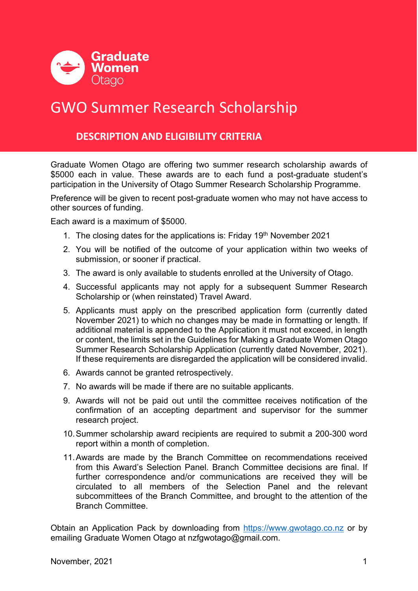

# GWO Summer Research Scholarship

## **DESCRIPTION AND ELIGIBILITY CRITERIA**

Graduate Women Otago are offering two summer research scholarship awards of \$5000 each in value. These awards are to each fund a post-graduate student's participation in the University of Otago Summer Research Scholarship Programme.

Preference will be given to recent post-graduate women who may not have access to other sources of funding.

Each award is a maximum of \$5000.

- 1. The closing dates for the applications is: Friday  $19<sup>th</sup>$  November 2021
- 2. You will be notified of the outcome of your application within two weeks of submission, or sooner if practical.
- 3. The award is only available to students enrolled at the University of Otago.
- 4. Successful applicants may not apply for a subsequent Summer Research Scholarship or (when reinstated) Travel Award.
- 5. Applicants must apply on the prescribed application form (currently dated November 2021) to which no changes may be made in formatting or length. If additional material is appended to the Application it must not exceed, in length or content, the limits set in the Guidelines for Making a Graduate Women Otago Summer Research Scholarship Application (currently dated November, 2021). If these requirements are disregarded the application will be considered invalid.
- 6. Awards cannot be granted retrospectively.
- 7. No awards will be made if there are no suitable applicants.
- 9. Awards will not be paid out until the committee receives notification of the confirmation of an accepting department and supervisor for the summer research project.
- 10.Summer scholarship award recipients are required to submit a 200-300 word report within a month of completion.
- 11.Awards are made by the Branch Committee on recommendations received from this Award's Selection Panel. Branch Committee decisions are final. If further correspondence and/or communications are received they will be circulated to all members of the Selection Panel and the relevant subcommittees of the Branch Committee, and brought to the attention of the Branch Committee.

Obtain an Application Pack by downloading from https://www.gwotago.co.nz or by emailing Graduate Women Otago at nzfgwotago@gmail.com.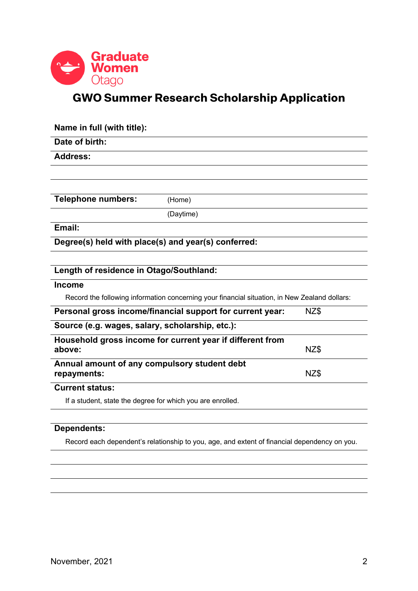

## **GWO Summer Research Scholarship Application**

| Name in full (with title):                                                                    |                                                           |      |
|-----------------------------------------------------------------------------------------------|-----------------------------------------------------------|------|
| Date of birth:                                                                                |                                                           |      |
| <b>Address:</b>                                                                               |                                                           |      |
|                                                                                               |                                                           |      |
|                                                                                               |                                                           |      |
| <b>Telephone numbers:</b>                                                                     | (Home)                                                    |      |
|                                                                                               | (Daytime)                                                 |      |
| Email:                                                                                        |                                                           |      |
| Degree(s) held with place(s) and year(s) conferred:                                           |                                                           |      |
|                                                                                               |                                                           |      |
| Length of residence in Otago/Southland:                                                       |                                                           |      |
| <b>Income</b>                                                                                 |                                                           |      |
| Record the following information concerning your financial situation, in New Zealand dollars: |                                                           |      |
|                                                                                               | Personal gross income/financial support for current year: | NZ\$ |
| Source (e.g. wages, salary, scholarship, etc.):                                               |                                                           |      |
| above:                                                                                        | Household gross income for current year if different from | NZ\$ |
| Annual amount of any compulsory student debt                                                  |                                                           |      |
| repayments:                                                                                   |                                                           | NZ\$ |
| <b>Current status:</b>                                                                        |                                                           |      |
| If a student, state the degree for which you are enrolled.                                    |                                                           |      |
|                                                                                               |                                                           |      |

### **Dependents:**

Record each dependent's relationship to you, age, and extent of financial dependency on you.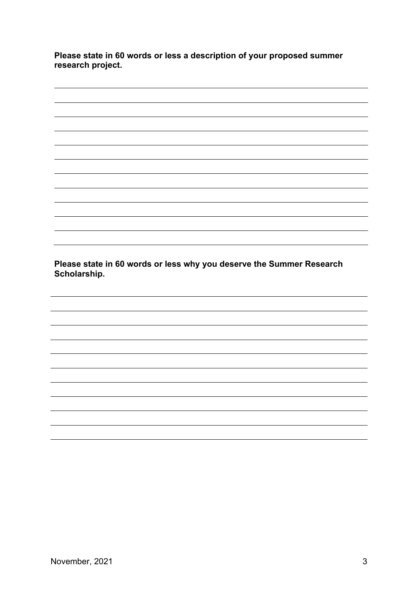**Please state in 60 words or less a description of your proposed summer research project.**

**Please state in 60 words or less why you deserve the Summer Research Scholarship.**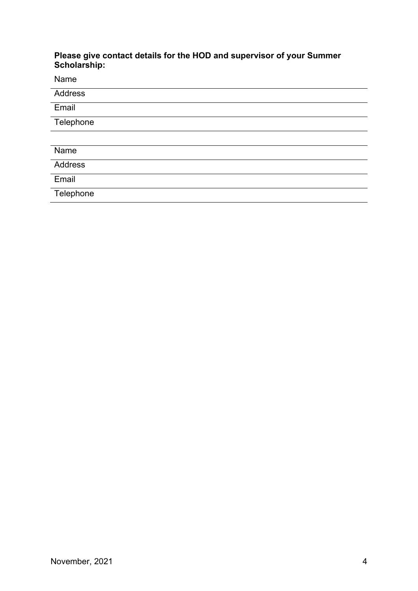#### **Please give contact details for the HOD and supervisor of your Summer Scholarship:**

Name

| Address   |
|-----------|
| Email     |
| Telephone |
|           |
| Name      |
| Address   |
| Email     |
| Telephone |
|           |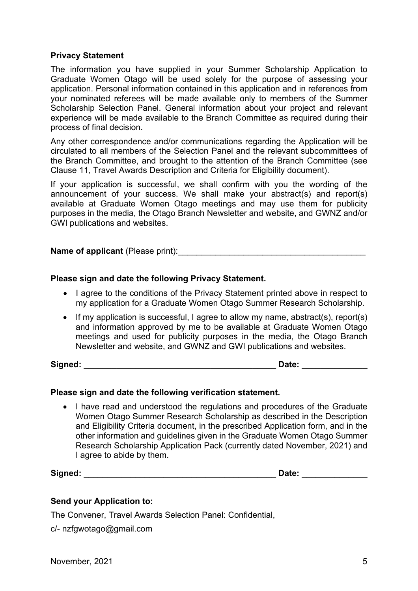#### **Privacy Statement**

The information you have supplied in your Summer Scholarship Application to Graduate Women Otago will be used solely for the purpose of assessing your application. Personal information contained in this application and in references from your nominated referees will be made available only to members of the Summer Scholarship Selection Panel. General information about your project and relevant experience will be made available to the Branch Committee as required during their process of final decision.

Any other correspondence and/or communications regarding the Application will be circulated to all members of the Selection Panel and the relevant subcommittees of the Branch Committee, and brought to the attention of the Branch Committee (see Clause 11, Travel Awards Description and Criteria for Eligibility document).

If your application is successful, we shall confirm with you the wording of the announcement of your success. We shall make your abstract(s) and report(s) available at Graduate Women Otago meetings and may use them for publicity purposes in the media, the Otago Branch Newsletter and website, and GWNZ and/or GWI publications and websites.

#### **Name of applicant** (Please print):

#### **Please sign and date the following Privacy Statement.**

- I agree to the conditions of the Privacy Statement printed above in respect to my application for a Graduate Women Otago Summer Research Scholarship.
- If my application is successful, I agree to allow my name, abstract(s), report(s) and information approved by me to be available at Graduate Women Otago meetings and used for publicity purposes in the media, the Otago Branch Newsletter and website, and GWNZ and GWI publications and websites.

**Signed:** \_\_\_\_\_\_\_\_\_\_\_\_\_\_\_\_\_\_\_\_\_\_\_\_\_\_\_\_\_\_\_\_\_\_\_\_\_\_\_\_\_ **Date:** \_\_\_\_\_\_\_\_\_\_\_\_\_\_

#### **Please sign and date the following verification statement.**

• I have read and understood the regulations and procedures of the Graduate Women Otago Summer Research Scholarship as described in the Description and Eligibility Criteria document, in the prescribed Application form, and in the other information and guidelines given in the Graduate Women Otago Summer Research Scholarship Application Pack (currently dated November, 2021) and I agree to abide by them.

**Signed:** \_\_\_\_\_\_\_\_\_\_\_\_\_\_\_\_\_\_\_\_\_\_\_\_\_\_\_\_\_\_\_\_\_\_\_\_\_\_\_\_\_ **Date:** \_\_\_\_\_\_\_\_\_\_\_\_\_\_

#### **Send your Application to:**

The Convener, Travel Awards Selection Panel: Confidential,

c/- nzfgwotago@gmail.com